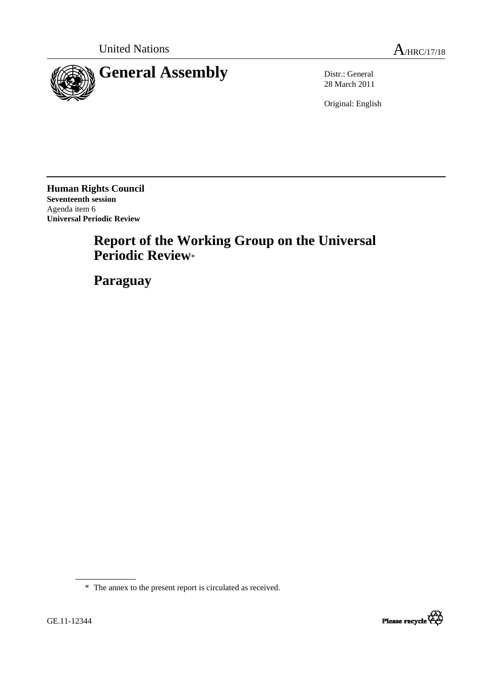



28 March 2011

Original: English

**Human Rights Council Seventeenth session**  Agenda item 6 **Universal Periodic Review**

# **Report of the Working Group on the Universal Periodic Review**\*

 **Paraguay**

\* The annex to the present report is circulated as received.

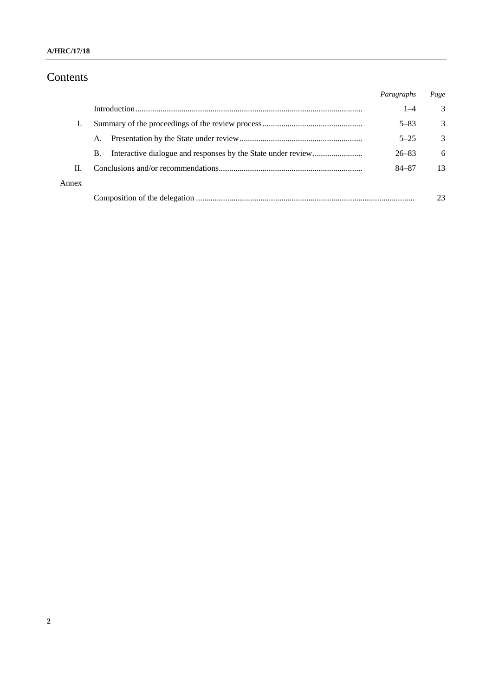#### **A/HRC/17/18**

# Contents

|       |    | Paragraphs | Page |
|-------|----|------------|------|
|       |    | $1 - 4$    | 3    |
|       |    | $5 - 83$   | 3    |
|       | Α. | $5 - 25$   | 3    |
|       | B. | $26 - 83$  | 6    |
| П.    |    | 84-87      | 13   |
| Annex |    |            |      |
|       |    |            | 23   |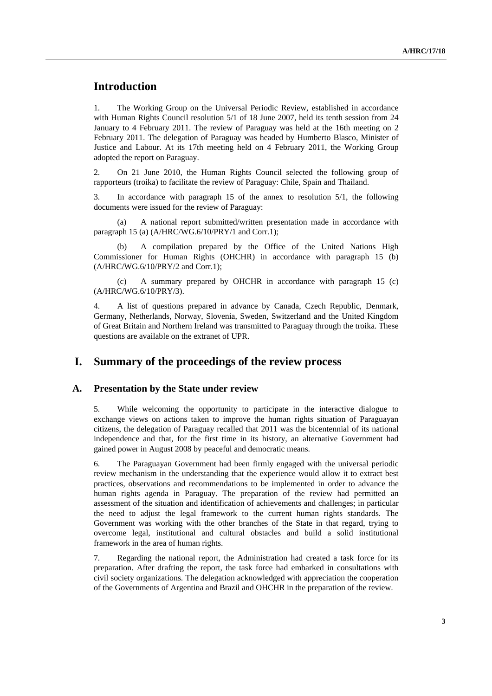# **Introduction**

1. The Working Group on the Universal Periodic Review, established in accordance with Human Rights Council resolution 5/1 of 18 June 2007, held its tenth session from 24 January to 4 February 2011. The review of Paraguay was held at the 16th meeting on 2 February 2011. The delegation of Paraguay was headed by Humberto Blasco, Minister of Justice and Labour. At its 17th meeting held on 4 February 2011, the Working Group adopted the report on Paraguay.

2. On 21 June 2010, the Human Rights Council selected the following group of rapporteurs (troika) to facilitate the review of Paraguay: Chile, Spain and Thailand.

3. In accordance with paragraph 15 of the annex to resolution 5/1, the following documents were issued for the review of Paraguay:

A national report submitted/written presentation made in accordance with paragraph 15 (a) (A/HRC/WG.6/10/PRY/1 and Corr.1);

 (b) A compilation prepared by the Office of the United Nations High Commissioner for Human Rights (OHCHR) in accordance with paragraph 15 (b) (A/HRC/WG.6/10/PRY/2 and Corr.1);

 (c) A summary prepared by OHCHR in accordance with paragraph 15 (c) (A/HRC/WG.6/10/PRY/3).

4. A list of questions prepared in advance by Canada, Czech Republic, Denmark, Germany, Netherlands, Norway, Slovenia, Sweden, Switzerland and the United Kingdom of Great Britain and Northern Ireland was transmitted to Paraguay through the troika. These questions are available on the extranet of UPR.

### **I. Summary of the proceedings of the review process**

#### **A. Presentation by the State under review**

5. While welcoming the opportunity to participate in the interactive dialogue to exchange views on actions taken to improve the human rights situation of Paraguayan citizens, the delegation of Paraguay recalled that 2011 was the bicentennial of its national independence and that, for the first time in its history, an alternative Government had gained power in August 2008 by peaceful and democratic means.

6. The Paraguayan Government had been firmly engaged with the universal periodic review mechanism in the understanding that the experience would allow it to extract best practices, observations and recommendations to be implemented in order to advance the human rights agenda in Paraguay. The preparation of the review had permitted an assessment of the situation and identification of achievements and challenges; in particular the need to adjust the legal framework to the current human rights standards. The Government was working with the other branches of the State in that regard, trying to overcome legal, institutional and cultural obstacles and build a solid institutional framework in the area of human rights.

7. Regarding the national report, the Administration had created a task force for its preparation. After drafting the report, the task force had embarked in consultations with civil society organizations. The delegation acknowledged with appreciation the cooperation of the Governments of Argentina and Brazil and OHCHR in the preparation of the review.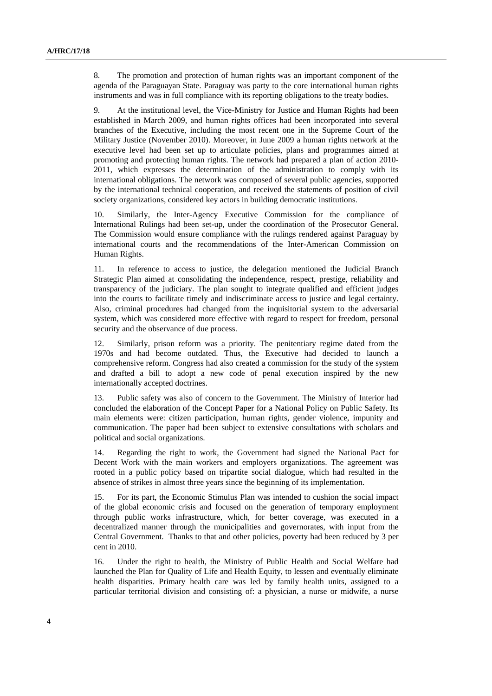8. The promotion and protection of human rights was an important component of the agenda of the Paraguayan State. Paraguay was party to the core international human rights instruments and was in full compliance with its reporting obligations to the treaty bodies.

9. At the institutional level, the Vice-Ministry for Justice and Human Rights had been established in March 2009, and human rights offices had been incorporated into several branches of the Executive, including the most recent one in the Supreme Court of the Military Justice (November 2010). Moreover, in June 2009 a human rights network at the executive level had been set up to articulate policies, plans and programmes aimed at promoting and protecting human rights. The network had prepared a plan of action 2010- 2011, which expresses the determination of the administration to comply with its international obligations. The network was composed of several public agencies, supported by the international technical cooperation, and received the statements of position of civil society organizations, considered key actors in building democratic institutions.

10. Similarly, the Inter-Agency Executive Commission for the compliance of International Rulings had been set-up, under the coordination of the Prosecutor General. The Commission would ensure compliance with the rulings rendered against Paraguay by international courts and the recommendations of the Inter-American Commission on Human Rights.

11. In reference to access to justice, the delegation mentioned the Judicial Branch Strategic Plan aimed at consolidating the independence, respect, prestige, reliability and transparency of the judiciary. The plan sought to integrate qualified and efficient judges into the courts to facilitate timely and indiscriminate access to justice and legal certainty. Also, criminal procedures had changed from the inquisitorial system to the adversarial system, which was considered more effective with regard to respect for freedom, personal security and the observance of due process.

12. Similarly, prison reform was a priority. The penitentiary regime dated from the 1970s and had become outdated. Thus, the Executive had decided to launch a comprehensive reform. Congress had also created a commission for the study of the system and drafted a bill to adopt a new code of penal execution inspired by the new internationally accepted doctrines.

13. Public safety was also of concern to the Government. The Ministry of Interior had concluded the elaboration of the Concept Paper for a National Policy on Public Safety. Its main elements were: citizen participation, human rights, gender violence, impunity and communication. The paper had been subject to extensive consultations with scholars and political and social organizations.

14. Regarding the right to work, the Government had signed the National Pact for Decent Work with the main workers and employers organizations. The agreement was rooted in a public policy based on tripartite social dialogue, which had resulted in the absence of strikes in almost three years since the beginning of its implementation.

15. For its part, the Economic Stimulus Plan was intended to cushion the social impact of the global economic crisis and focused on the generation of temporary employment through public works infrastructure, which, for better coverage, was executed in a decentralized manner through the municipalities and governorates, with input from the Central Government. Thanks to that and other policies, poverty had been reduced by 3 per cent in 2010.

16. Under the right to health, the Ministry of Public Health and Social Welfare had launched the Plan for Quality of Life and Health Equity, to lessen and eventually eliminate health disparities. Primary health care was led by family health units, assigned to a particular territorial division and consisting of: a physician, a nurse or midwife, a nurse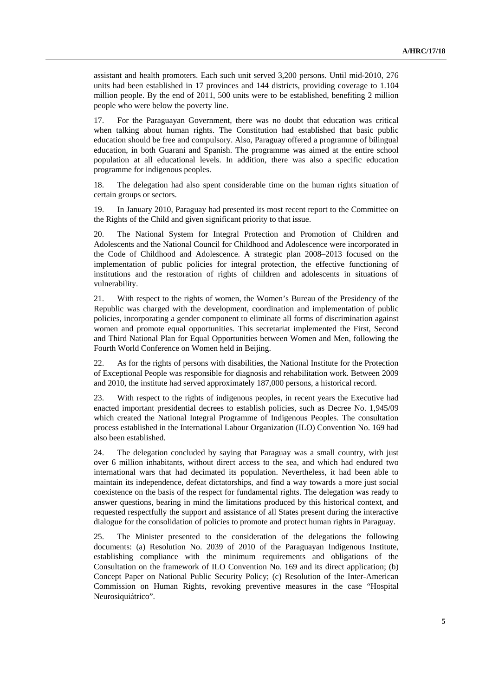assistant and health promoters. Each such unit served 3,200 persons. Until mid-2010, 276 units had been established in 17 provinces and 144 districts, providing coverage to 1.104 million people. By the end of 2011, 500 units were to be established, benefiting 2 million people who were below the poverty line.

17. For the Paraguayan Government, there was no doubt that education was critical when talking about human rights. The Constitution had established that basic public education should be free and compulsory. Also, Paraguay offered a programme of bilingual education, in both Guarani and Spanish. The programme was aimed at the entire school population at all educational levels. In addition, there was also a specific education programme for indigenous peoples.

18. The delegation had also spent considerable time on the human rights situation of certain groups or sectors.

19. In January 2010, Paraguay had presented its most recent report to the Committee on the Rights of the Child and given significant priority to that issue.

20. The National System for Integral Protection and Promotion of Children and Adolescents and the National Council for Childhood and Adolescence were incorporated in the Code of Childhood and Adolescence. A strategic plan 2008–2013 focused on the implementation of public policies for integral protection, the effective functioning of institutions and the restoration of rights of children and adolescents in situations of vulnerability.

21. With respect to the rights of women, the Women's Bureau of the Presidency of the Republic was charged with the development, coordination and implementation of public policies, incorporating a gender component to eliminate all forms of discrimination against women and promote equal opportunities. This secretariat implemented the First, Second and Third National Plan for Equal Opportunities between Women and Men, following the Fourth World Conference on Women held in Beijing.

22. As for the rights of persons with disabilities, the National Institute for the Protection of Exceptional People was responsible for diagnosis and rehabilitation work. Between 2009 and 2010, the institute had served approximately 187,000 persons, a historical record.

23. With respect to the rights of indigenous peoples, in recent years the Executive had enacted important presidential decrees to establish policies, such as Decree No. 1,945/09 which created the National Integral Programme of Indigenous Peoples. The consultation process established in the International Labour Organization (ILO) Convention No. 169 had also been established.

24. The delegation concluded by saying that Paraguay was a small country, with just over 6 million inhabitants, without direct access to the sea, and which had endured two international wars that had decimated its population. Nevertheless, it had been able to maintain its independence, defeat dictatorships, and find a way towards a more just social coexistence on the basis of the respect for fundamental rights. The delegation was ready to answer questions, bearing in mind the limitations produced by this historical context, and requested respectfully the support and assistance of all States present during the interactive dialogue for the consolidation of policies to promote and protect human rights in Paraguay.

25. The Minister presented to the consideration of the delegations the following documents: (a) Resolution No. 2039 of 2010 of the Paraguayan Indigenous Institute, establishing compliance with the minimum requirements and obligations of the Consultation on the framework of ILO Convention No. 169 and its direct application; (b) Concept Paper on National Public Security Policy; (c) Resolution of the Inter-American Commission on Human Rights, revoking preventive measures in the case "Hospital Neurosiquiátrico".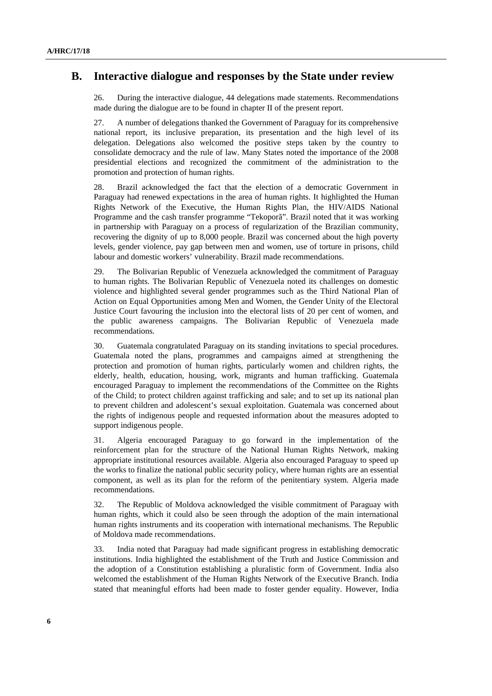#### **B. Interactive dialogue and responses by the State under review**

26. During the interactive dialogue, 44 delegations made statements. Recommendations made during the dialogue are to be found in chapter II of the present report.

27. A number of delegations thanked the Government of Paraguay for its comprehensive national report, its inclusive preparation, its presentation and the high level of its delegation. Delegations also welcomed the positive steps taken by the country to consolidate democracy and the rule of law. Many States noted the importance of the 2008 presidential elections and recognized the commitment of the administration to the promotion and protection of human rights.

28. Brazil acknowledged the fact that the election of a democratic Government in Paraguay had renewed expectations in the area of human rights. It highlighted the Human Rights Network of the Executive, the Human Rights Plan, the HIV/AIDS National Programme and the cash transfer programme "Tekoporã". Brazil noted that it was working in partnership with Paraguay on a process of regularization of the Brazilian community, recovering the dignity of up to 8,000 people. Brazil was concerned about the high poverty levels, gender violence, pay gap between men and women, use of torture in prisons, child labour and domestic workers' vulnerability. Brazil made recommendations.

29. The Bolivarian Republic of Venezuela acknowledged the commitment of Paraguay to human rights. The Bolivarian Republic of Venezuela noted its challenges on domestic violence and highlighted several gender programmes such as the Third National Plan of Action on Equal Opportunities among Men and Women, the Gender Unity of the Electoral Justice Court favouring the inclusion into the electoral lists of 20 per cent of women, and the public awareness campaigns. The Bolivarian Republic of Venezuela made recommendations.

30. Guatemala congratulated Paraguay on its standing invitations to special procedures. Guatemala noted the plans, programmes and campaigns aimed at strengthening the protection and promotion of human rights, particularly women and children rights, the elderly, health, education, housing, work, migrants and human trafficking. Guatemala encouraged Paraguay to implement the recommendations of the Committee on the Rights of the Child; to protect children against trafficking and sale; and to set up its national plan to prevent children and adolescent's sexual exploitation. Guatemala was concerned about the rights of indigenous people and requested information about the measures adopted to support indigenous people.

31. Algeria encouraged Paraguay to go forward in the implementation of the reinforcement plan for the structure of the National Human Rights Network, making appropriate institutional resources available. Algeria also encouraged Paraguay to speed up the works to finalize the national public security policy, where human rights are an essential component, as well as its plan for the reform of the penitentiary system. Algeria made recommendations.

32. The Republic of Moldova acknowledged the visible commitment of Paraguay with human rights, which it could also be seen through the adoption of the main international human rights instruments and its cooperation with international mechanisms. The Republic of Moldova made recommendations.

33. India noted that Paraguay had made significant progress in establishing democratic institutions. India highlighted the establishment of the Truth and Justice Commission and the adoption of a Constitution establishing a pluralistic form of Government. India also welcomed the establishment of the Human Rights Network of the Executive Branch. India stated that meaningful efforts had been made to foster gender equality. However, India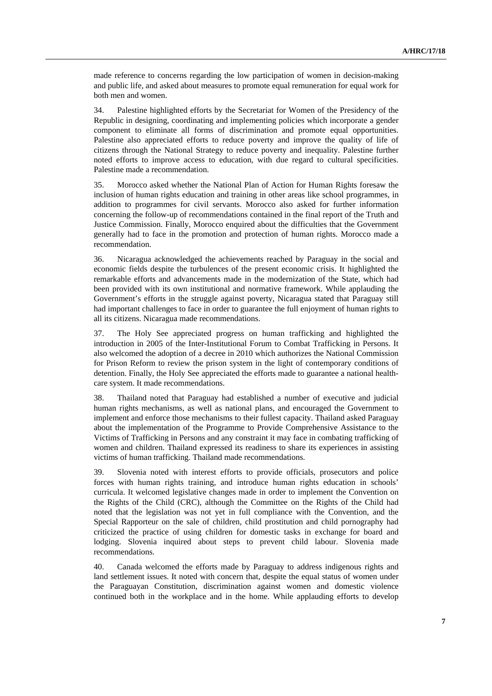made reference to concerns regarding the low participation of women in decision-making and public life, and asked about measures to promote equal remuneration for equal work for both men and women.

34. Palestine highlighted efforts by the Secretariat for Women of the Presidency of the Republic in designing, coordinating and implementing policies which incorporate a gender component to eliminate all forms of discrimination and promote equal opportunities. Palestine also appreciated efforts to reduce poverty and improve the quality of life of citizens through the National Strategy to reduce poverty and inequality. Palestine further noted efforts to improve access to education, with due regard to cultural specificities. Palestine made a recommendation.

35. Morocco asked whether the National Plan of Action for Human Rights foresaw the inclusion of human rights education and training in other areas like school programmes, in addition to programmes for civil servants. Morocco also asked for further information concerning the follow-up of recommendations contained in the final report of the Truth and Justice Commission. Finally, Morocco enquired about the difficulties that the Government generally had to face in the promotion and protection of human rights. Morocco made a recommendation.

36. Nicaragua acknowledged the achievements reached by Paraguay in the social and economic fields despite the turbulences of the present economic crisis. It highlighted the remarkable efforts and advancements made in the modernization of the State, which had been provided with its own institutional and normative framework. While applauding the Government's efforts in the struggle against poverty, Nicaragua stated that Paraguay still had important challenges to face in order to guarantee the full enjoyment of human rights to all its citizens. Nicaragua made recommendations.

37. The Holy See appreciated progress on human trafficking and highlighted the introduction in 2005 of the Inter-Institutional Forum to Combat Trafficking in Persons. It also welcomed the adoption of a decree in 2010 which authorizes the National Commission for Prison Reform to review the prison system in the light of contemporary conditions of detention. Finally, the Holy See appreciated the efforts made to guarantee a national healthcare system. It made recommendations.

38. Thailand noted that Paraguay had established a number of executive and judicial human rights mechanisms, as well as national plans, and encouraged the Government to implement and enforce those mechanisms to their fullest capacity. Thailand asked Paraguay about the implementation of the Programme to Provide Comprehensive Assistance to the Victims of Trafficking in Persons and any constraint it may face in combating trafficking of women and children. Thailand expressed its readiness to share its experiences in assisting victims of human trafficking. Thailand made recommendations.

39. Slovenia noted with interest efforts to provide officials, prosecutors and police forces with human rights training, and introduce human rights education in schools' curricula. It welcomed legislative changes made in order to implement the Convention on the Rights of the Child (CRC), although the Committee on the Rights of the Child had noted that the legislation was not yet in full compliance with the Convention, and the Special Rapporteur on the sale of children, child prostitution and child pornography had criticized the practice of using children for domestic tasks in exchange for board and lodging. Slovenia inquired about steps to prevent child labour. Slovenia made recommendations.

40. Canada welcomed the efforts made by Paraguay to address indigenous rights and land settlement issues. It noted with concern that, despite the equal status of women under the Paraguayan Constitution, discrimination against women and domestic violence continued both in the workplace and in the home. While applauding efforts to develop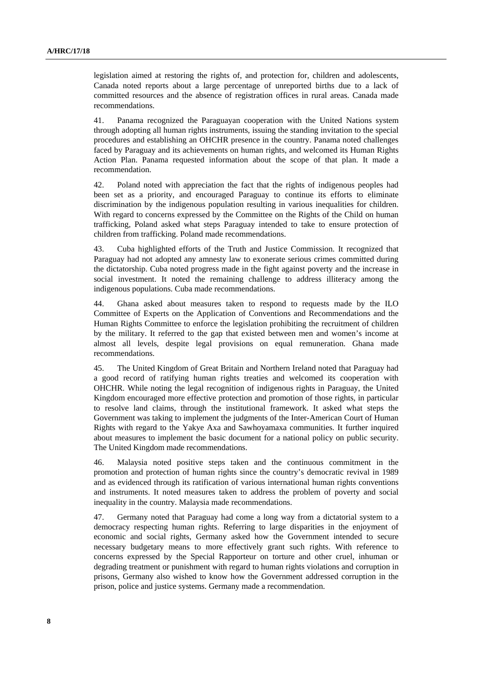legislation aimed at restoring the rights of, and protection for, children and adolescents, Canada noted reports about a large percentage of unreported births due to a lack of committed resources and the absence of registration offices in rural areas. Canada made recommendations.

41. Panama recognized the Paraguayan cooperation with the United Nations system through adopting all human rights instruments, issuing the standing invitation to the special procedures and establishing an OHCHR presence in the country. Panama noted challenges faced by Paraguay and its achievements on human rights, and welcomed its Human Rights Action Plan. Panama requested information about the scope of that plan. It made a recommendation.

42. Poland noted with appreciation the fact that the rights of indigenous peoples had been set as a priority, and encouraged Paraguay to continue its efforts to eliminate discrimination by the indigenous population resulting in various inequalities for children. With regard to concerns expressed by the Committee on the Rights of the Child on human trafficking, Poland asked what steps Paraguay intended to take to ensure protection of children from trafficking. Poland made recommendations.

43. Cuba highlighted efforts of the Truth and Justice Commission. It recognized that Paraguay had not adopted any amnesty law to exonerate serious crimes committed during the dictatorship. Cuba noted progress made in the fight against poverty and the increase in social investment. It noted the remaining challenge to address illiteracy among the indigenous populations. Cuba made recommendations.

44. Ghana asked about measures taken to respond to requests made by the ILO Committee of Experts on the Application of Conventions and Recommendations and the Human Rights Committee to enforce the legislation prohibiting the recruitment of children by the military. It referred to the gap that existed between men and women's income at almost all levels, despite legal provisions on equal remuneration. Ghana made recommendations.

45. The United Kingdom of Great Britain and Northern Ireland noted that Paraguay had a good record of ratifying human rights treaties and welcomed its cooperation with OHCHR. While noting the legal recognition of indigenous rights in Paraguay, the United Kingdom encouraged more effective protection and promotion of those rights, in particular to resolve land claims, through the institutional framework. It asked what steps the Government was taking to implement the judgments of the Inter-American Court of Human Rights with regard to the Yakye Axa and Sawhoyamaxa communities. It further inquired about measures to implement the basic document for a national policy on public security. The United Kingdom made recommendations.

46. Malaysia noted positive steps taken and the continuous commitment in the promotion and protection of human rights since the country's democratic revival in 1989 and as evidenced through its ratification of various international human rights conventions and instruments. It noted measures taken to address the problem of poverty and social inequality in the country. Malaysia made recommendations.

47. Germany noted that Paraguay had come a long way from a dictatorial system to a democracy respecting human rights. Referring to large disparities in the enjoyment of economic and social rights, Germany asked how the Government intended to secure necessary budgetary means to more effectively grant such rights. With reference to concerns expressed by the Special Rapporteur on torture and other cruel, inhuman or degrading treatment or punishment with regard to human rights violations and corruption in prisons, Germany also wished to know how the Government addressed corruption in the prison, police and justice systems. Germany made a recommendation.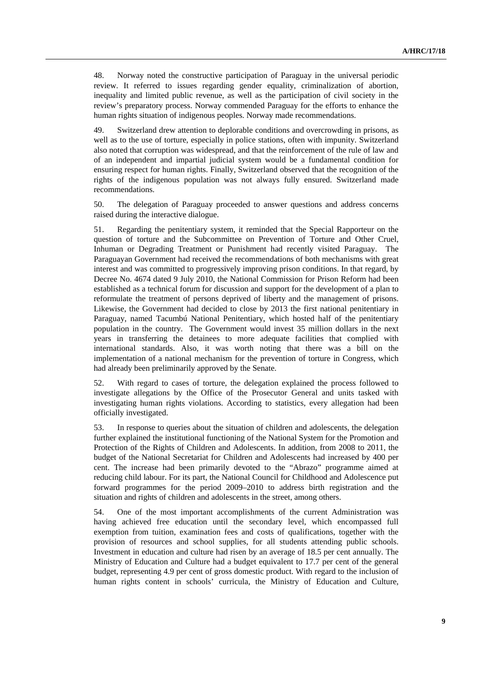48. Norway noted the constructive participation of Paraguay in the universal periodic review. It referred to issues regarding gender equality, criminalization of abortion, inequality and limited public revenue, as well as the participation of civil society in the review's preparatory process. Norway commended Paraguay for the efforts to enhance the human rights situation of indigenous peoples. Norway made recommendations.

49. Switzerland drew attention to deplorable conditions and overcrowding in prisons, as well as to the use of torture, especially in police stations, often with impunity. Switzerland also noted that corruption was widespread, and that the reinforcement of the rule of law and of an independent and impartial judicial system would be a fundamental condition for ensuring respect for human rights. Finally, Switzerland observed that the recognition of the rights of the indigenous population was not always fully ensured. Switzerland made recommendations.

50. The delegation of Paraguay proceeded to answer questions and address concerns raised during the interactive dialogue.

51. Regarding the penitentiary system, it reminded that the Special Rapporteur on the question of torture and the Subcommittee on Prevention of Torture and Other Cruel, Inhuman or Degrading Treatment or Punishment had recently visited Paraguay. The Paraguayan Government had received the recommendations of both mechanisms with great interest and was committed to progressively improving prison conditions. In that regard, by Decree No. 4674 dated 9 July 2010, the National Commission for Prison Reform had been established as a technical forum for discussion and support for the development of a plan to reformulate the treatment of persons deprived of liberty and the management of prisons. Likewise, the Government had decided to close by 2013 the first national penitentiary in Paraguay, named Tacumbú National Penitentiary, which hosted half of the penitentiary population in the country. The Government would invest 35 million dollars in the next years in transferring the detainees to more adequate facilities that complied with international standards. Also, it was worth noting that there was a bill on the implementation of a national mechanism for the prevention of torture in Congress, which had already been preliminarily approved by the Senate.

52. With regard to cases of torture, the delegation explained the process followed to investigate allegations by the Office of the Prosecutor General and units tasked with investigating human rights violations. According to statistics, every allegation had been officially investigated.

53. In response to queries about the situation of children and adolescents, the delegation further explained the institutional functioning of the National System for the Promotion and Protection of the Rights of Children and Adolescents. In addition, from 2008 to 2011, the budget of the National Secretariat for Children and Adolescents had increased by 400 per cent. The increase had been primarily devoted to the "Abrazo" programme aimed at reducing child labour. For its part, the National Council for Childhood and Adolescence put forward programmes for the period 2009–2010 to address birth registration and the situation and rights of children and adolescents in the street, among others.

54. One of the most important accomplishments of the current Administration was having achieved free education until the secondary level, which encompassed full exemption from tuition, examination fees and costs of qualifications, together with the provision of resources and school supplies, for all students attending public schools. Investment in education and culture had risen by an average of 18.5 per cent annually. The Ministry of Education and Culture had a budget equivalent to 17.7 per cent of the general budget, representing 4.9 per cent of gross domestic product. With regard to the inclusion of human rights content in schools' curricula, the Ministry of Education and Culture,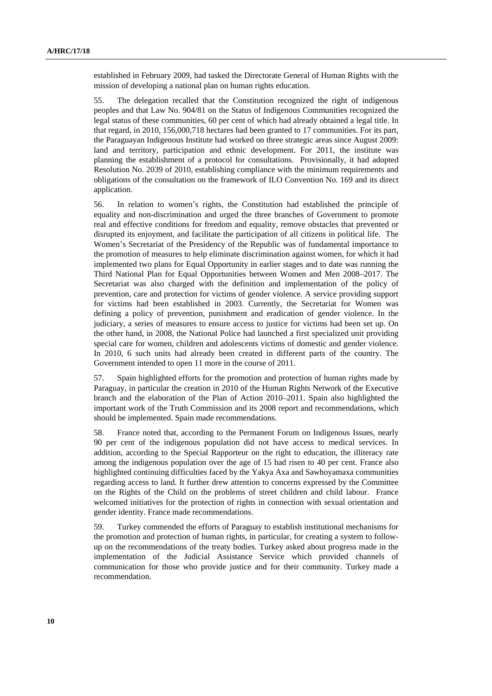established in February 2009, had tasked the Directorate General of Human Rights with the mission of developing a national plan on human rights education.

55. The delegation recalled that the Constitution recognized the right of indigenous peoples and that Law No. 904/81 on the Status of Indigenous Communities recognized the legal status of these communities, 60 per cent of which had already obtained a legal title. In that regard, in 2010, 156,000,718 hectares had been granted to 17 communities. For its part, the Paraguayan Indigenous Institute had worked on three strategic areas since August 2009: land and territory, participation and ethnic development. For 2011, the institute was planning the establishment of a protocol for consultations. Provisionally, it had adopted Resolution No. 2039 of 2010, establishing compliance with the minimum requirements and obligations of the consultation on the framework of ILO Convention No. 169 and its direct application.

56. In relation to women's rights, the Constitution had established the principle of equality and non-discrimination and urged the three branches of Government to promote real and effective conditions for freedom and equality, remove obstacles that prevented or disrupted its enjoyment, and facilitate the participation of all citizens in political life. The Women's Secretariat of the Presidency of the Republic was of fundamental importance to the promotion of measures to help eliminate discrimination against women, for which it had implemented two plans for Equal Opportunity in earlier stages and to date was running the Third National Plan for Equal Opportunities between Women and Men 2008–2017. The Secretariat was also charged with the definition and implementation of the policy of prevention, care and protection for victims of gender violence. A service providing support for victims had been established in 2003. Currently, the Secretariat for Women was defining a policy of prevention, punishment and eradication of gender violence. In the judiciary, a series of measures to ensure access to justice for victims had been set up. On the other hand, in 2008, the National Police had launched a first specialized unit providing special care for women, children and adolescents victims of domestic and gender violence. In 2010, 6 such units had already been created in different parts of the country. The Government intended to open 11 more in the course of 2011.

57. Spain highlighted efforts for the promotion and protection of human rights made by Paraguay, in particular the creation in 2010 of the Human Rights Network of the Executive branch and the elaboration of the Plan of Action 2010–2011. Spain also highlighted the important work of the Truth Commission and its 2008 report and recommendations, which should be implemented. Spain made recommendations.

58. France noted that, according to the Permanent Forum on Indigenous Issues, nearly 90 per cent of the indigenous population did not have access to medical services. In addition, according to the Special Rapporteur on the right to education, the illiteracy rate among the indigenous population over the age of 15 had risen to 40 per cent. France also highlighted continuing difficulties faced by the Yakya Axa and Sawhoyamaxa communities regarding access to land. It further drew attention to concerns expressed by the Committee on the Rights of the Child on the problems of street children and child labour. France welcomed initiatives for the protection of rights in connection with sexual orientation and gender identity. France made recommendations.

59. Turkey commended the efforts of Paraguay to establish institutional mechanisms for the promotion and protection of human rights, in particular, for creating a system to followup on the recommendations of the treaty bodies. Turkey asked about progress made in the implementation of the Judicial Assistance Service which provided channels of communication for those who provide justice and for their community. Turkey made a recommendation.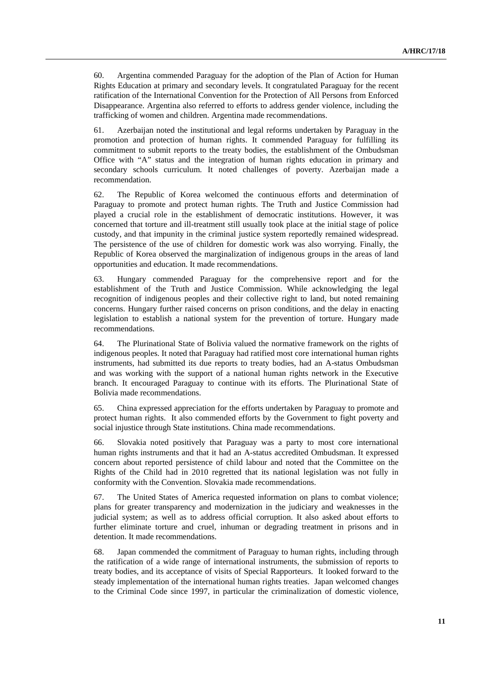60. Argentina commended Paraguay for the adoption of the Plan of Action for Human Rights Education at primary and secondary levels. It congratulated Paraguay for the recent ratification of the International Convention for the Protection of All Persons from Enforced Disappearance. Argentina also referred to efforts to address gender violence, including the trafficking of women and children. Argentina made recommendations.

61. Azerbaijan noted the institutional and legal reforms undertaken by Paraguay in the promotion and protection of human rights. It commended Paraguay for fulfilling its commitment to submit reports to the treaty bodies, the establishment of the Ombudsman Office with "A" status and the integration of human rights education in primary and secondary schools curriculum. It noted challenges of poverty. Azerbaijan made a recommendation.

62. The Republic of Korea welcomed the continuous efforts and determination of Paraguay to promote and protect human rights. The Truth and Justice Commission had played a crucial role in the establishment of democratic institutions. However, it was concerned that torture and ill-treatment still usually took place at the initial stage of police custody, and that impunity in the criminal justice system reportedly remained widespread. The persistence of the use of children for domestic work was also worrying. Finally, the Republic of Korea observed the marginalization of indigenous groups in the areas of land opportunities and education. It made recommendations.

63. Hungary commended Paraguay for the comprehensive report and for the establishment of the Truth and Justice Commission. While acknowledging the legal recognition of indigenous peoples and their collective right to land, but noted remaining concerns. Hungary further raised concerns on prison conditions, and the delay in enacting legislation to establish a national system for the prevention of torture. Hungary made recommendations.

64. The Plurinational State of Bolivia valued the normative framework on the rights of indigenous peoples. It noted that Paraguay had ratified most core international human rights instruments, had submitted its due reports to treaty bodies, had an A-status Ombudsman and was working with the support of a national human rights network in the Executive branch. It encouraged Paraguay to continue with its efforts. The Plurinational State of Bolivia made recommendations.

65. China expressed appreciation for the efforts undertaken by Paraguay to promote and protect human rights. It also commended efforts by the Government to fight poverty and social injustice through State institutions. China made recommendations.

66. Slovakia noted positively that Paraguay was a party to most core international human rights instruments and that it had an A-status accredited Ombudsman. It expressed concern about reported persistence of child labour and noted that the Committee on the Rights of the Child had in 2010 regretted that its national legislation was not fully in conformity with the Convention. Slovakia made recommendations.

67. The United States of America requested information on plans to combat violence; plans for greater transparency and modernization in the judiciary and weaknesses in the judicial system; as well as to address official corruption. It also asked about efforts to further eliminate torture and cruel, inhuman or degrading treatment in prisons and in detention. It made recommendations.

68. Japan commended the commitment of Paraguay to human rights, including through the ratification of a wide range of international instruments, the submission of reports to treaty bodies, and its acceptance of visits of Special Rapporteurs. It looked forward to the steady implementation of the international human rights treaties. Japan welcomed changes to the Criminal Code since 1997, in particular the criminalization of domestic violence,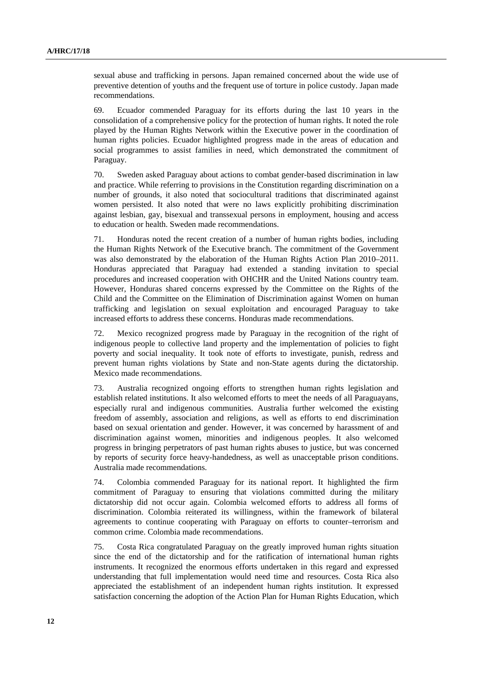sexual abuse and trafficking in persons. Japan remained concerned about the wide use of preventive detention of youths and the frequent use of torture in police custody. Japan made recommendations.

69. Ecuador commended Paraguay for its efforts during the last 10 years in the consolidation of a comprehensive policy for the protection of human rights. It noted the role played by the Human Rights Network within the Executive power in the coordination of human rights policies. Ecuador highlighted progress made in the areas of education and social programmes to assist families in need, which demonstrated the commitment of Paraguay.

70. Sweden asked Paraguay about actions to combat gender-based discrimination in law and practice. While referring to provisions in the Constitution regarding discrimination on a number of grounds, it also noted that sociocultural traditions that discriminated against women persisted. It also noted that were no laws explicitly prohibiting discrimination against lesbian, gay, bisexual and transsexual persons in employment, housing and access to education or health. Sweden made recommendations.

71. Honduras noted the recent creation of a number of human rights bodies, including the Human Rights Network of the Executive branch. The commitment of the Government was also demonstrated by the elaboration of the Human Rights Action Plan 2010–2011. Honduras appreciated that Paraguay had extended a standing invitation to special procedures and increased cooperation with OHCHR and the United Nations country team. However, Honduras shared concerns expressed by the Committee on the Rights of the Child and the Committee on the Elimination of Discrimination against Women on human trafficking and legislation on sexual exploitation and encouraged Paraguay to take increased efforts to address these concerns. Honduras made recommendations.

72. Mexico recognized progress made by Paraguay in the recognition of the right of indigenous people to collective land property and the implementation of policies to fight poverty and social inequality. It took note of efforts to investigate, punish, redress and prevent human rights violations by State and non-State agents during the dictatorship. Mexico made recommendations.

73. Australia recognized ongoing efforts to strengthen human rights legislation and establish related institutions. It also welcomed efforts to meet the needs of all Paraguayans, especially rural and indigenous communities. Australia further welcomed the existing freedom of assembly, association and religions, as well as efforts to end discrimination based on sexual orientation and gender. However, it was concerned by harassment of and discrimination against women, minorities and indigenous peoples. It also welcomed progress in bringing perpetrators of past human rights abuses to justice, but was concerned by reports of security force heavy-handedness, as well as unacceptable prison conditions. Australia made recommendations.

74. Colombia commended Paraguay for its national report. It highlighted the firm commitment of Paraguay to ensuring that violations committed during the military dictatorship did not occur again. Colombia welcomed efforts to address all forms of discrimination. Colombia reiterated its willingness, within the framework of bilateral agreements to continue cooperating with Paraguay on efforts to counter–terrorism and common crime. Colombia made recommendations.

75. Costa Rica congratulated Paraguay on the greatly improved human rights situation since the end of the dictatorship and for the ratification of international human rights instruments. It recognized the enormous efforts undertaken in this regard and expressed understanding that full implementation would need time and resources. Costa Rica also appreciated the establishment of an independent human rights institution. It expressed satisfaction concerning the adoption of the Action Plan for Human Rights Education, which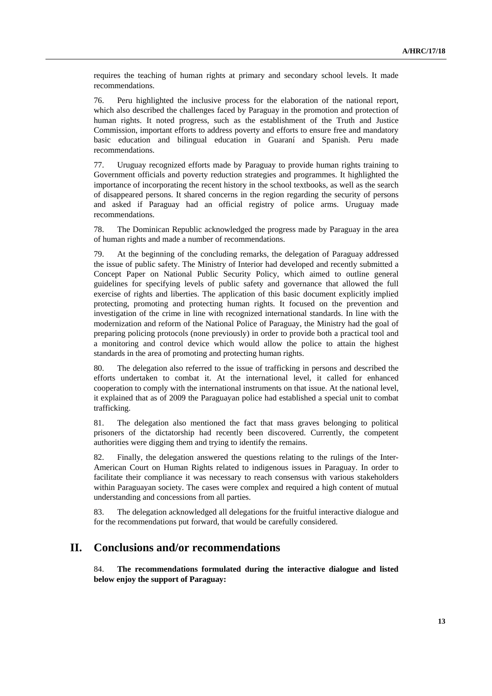requires the teaching of human rights at primary and secondary school levels. It made recommendations.

76. Peru highlighted the inclusive process for the elaboration of the national report, which also described the challenges faced by Paraguay in the promotion and protection of human rights. It noted progress, such as the establishment of the Truth and Justice Commission, important efforts to address poverty and efforts to ensure free and mandatory basic education and bilingual education in Guaraní and Spanish. Peru made recommendations.

77. Uruguay recognized efforts made by Paraguay to provide human rights training to Government officials and poverty reduction strategies and programmes. It highlighted the importance of incorporating the recent history in the school textbooks, as well as the search of disappeared persons. It shared concerns in the region regarding the security of persons and asked if Paraguay had an official registry of police arms. Uruguay made recommendations.

78. The Dominican Republic acknowledged the progress made by Paraguay in the area of human rights and made a number of recommendations.

79. At the beginning of the concluding remarks, the delegation of Paraguay addressed the issue of public safety. The Ministry of Interior had developed and recently submitted a Concept Paper on National Public Security Policy, which aimed to outline general guidelines for specifying levels of public safety and governance that allowed the full exercise of rights and liberties. The application of this basic document explicitly implied protecting, promoting and protecting human rights. It focused on the prevention and investigation of the crime in line with recognized international standards. In line with the modernization and reform of the National Police of Paraguay, the Ministry had the goal of preparing policing protocols (none previously) in order to provide both a practical tool and a monitoring and control device which would allow the police to attain the highest standards in the area of promoting and protecting human rights.

80. The delegation also referred to the issue of trafficking in persons and described the efforts undertaken to combat it. At the international level, it called for enhanced cooperation to comply with the international instruments on that issue. At the national level, it explained that as of 2009 the Paraguayan police had established a special unit to combat trafficking.

81. The delegation also mentioned the fact that mass graves belonging to political prisoners of the dictatorship had recently been discovered. Currently, the competent authorities were digging them and trying to identify the remains.

82. Finally, the delegation answered the questions relating to the rulings of the Inter-American Court on Human Rights related to indigenous issues in Paraguay. In order to facilitate their compliance it was necessary to reach consensus with various stakeholders within Paraguayan society. The cases were complex and required a high content of mutual understanding and concessions from all parties.

83. The delegation acknowledged all delegations for the fruitful interactive dialogue and for the recommendations put forward, that would be carefully considered.

# **II. Conclusions and/or recommendations**

84. **The recommendations formulated during the interactive dialogue and listed below enjoy the support of Paraguay:**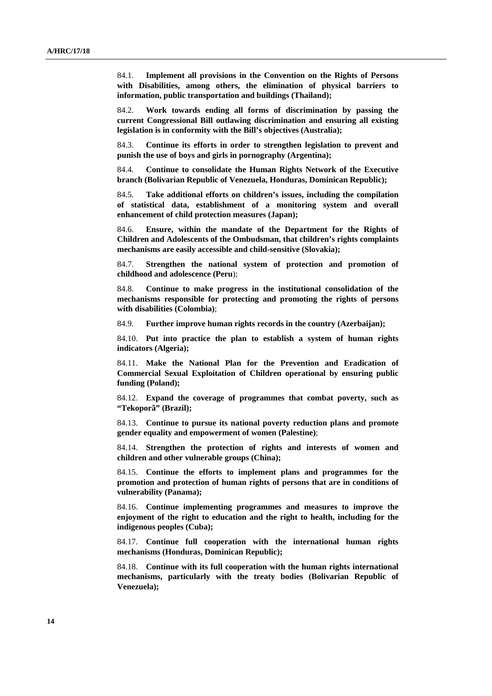84.1. **Implement all provisions in the Convention on the Rights of Persons with Disabilities, among others, the elimination of physical barriers to information, public transportation and buildings (Thailand);**

84.2. **Work towards ending all forms of discrimination by passing the current Congressional Bill outlawing discrimination and ensuring all existing legislation is in conformity with the Bill's objectives (Australia);**

84.3. **Continue its efforts in order to strengthen legislation to prevent and punish the use of boys and girls in pornography (Argentina);**

84.4. **Continue to consolidate the Human Rights Network of the Executive branch (Bolivarian Republic of Venezuela, Honduras, Dominican Republic);** 

84.5. **Take additional efforts on children's issues, including the compilation of statistical data, establishment of a monitoring system and overall enhancement of child protection measures (Japan);**

84.6. **Ensure, within the mandate of the Department for the Rights of Children and Adolescents of the Ombudsman, that children's rights complaints mechanisms are easily accessible and child-sensitive (Slovakia);**

84.7. **Strengthen the national system of protection and promotion of childhood and adolescence (Peru**);

84.8. **Continue to make progress in the institutional consolidation of the mechanisms responsible for protecting and promoting the rights of persons with disabilities (Colombia)**;

84.9. **Further improve human rights records in the country (Azerbaijan);**

84.10. **Put into practice the plan to establish a system of human rights indicators (Algeria);**

84.11. **Make the National Plan for the Prevention and Eradication of Commercial Sexual Exploitation of Children operational by ensuring public funding (Poland);**

84.12. **Expand the coverage of programmes that combat poverty, such as "Tekoporã" (Brazil);**

84.13. **Continue to pursue its national poverty reduction plans and promote gender equality and empowerment of women (Palestine)**;

84.14. **Strengthen the protection of rights and interests of women and children and other vulnerable groups (China);**

84.15. **Continue the efforts to implement plans and programmes for the promotion and protection of human rights of persons that are in conditions of vulnerability (Panama);**

84.16. **Continue implementing programmes and measures to improve the enjoyment of the right to education and the right to health, including for the indigenous peoples (Cuba);**

84.17. **Continue full cooperation with the international human rights mechanisms (Honduras, Dominican Republic);**

84.18. **Continue with its full cooperation with the human rights international mechanisms, particularly with the treaty bodies (Bolivarian Republic of Venezuela);**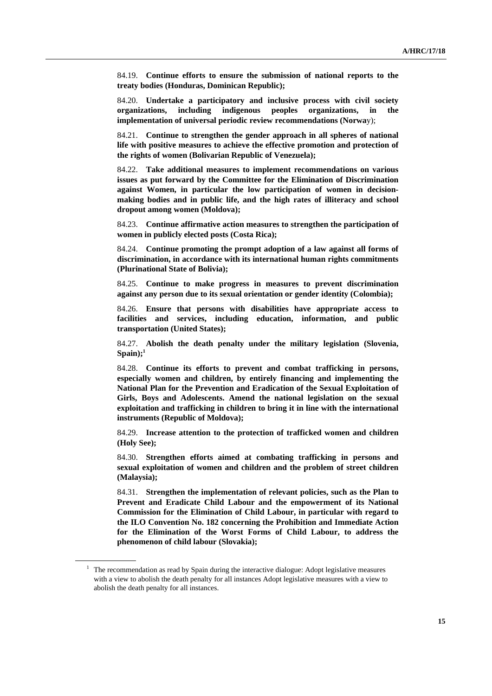84.19. **Continue efforts to ensure the submission of national reports to the treaty bodies (Honduras, Dominican Republic);** 

84.20. **Undertake a participatory and inclusive process with civil society organizations, including indigenous peoples organizations, in the implementation of universal periodic review recommendations (Norwa**y);

84.21. **Continue to strengthen the gender approach in all spheres of national life with positive measures to achieve the effective promotion and protection of the rights of women (Bolivarian Republic of Venezuela);** 

84.22. **Take additional measures to implement recommendations on various issues as put forward by the Committee for the Elimination of Discrimination against Women, in particular the low participation of women in decisionmaking bodies and in public life, and the high rates of illiteracy and school dropout among women (Moldova);**

84.23. **Continue affirmative action measures to strengthen the participation of women in publicly elected posts (Costa Rica);**

84.24. **Continue promoting the prompt adoption of a law against all forms of discrimination, in accordance with its international human rights commitments (Plurinational State of Bolivia);**

84.25. **Continue to make progress in measures to prevent discrimination against any person due to its sexual orientation or gender identity (Colombia);**

84.26. **Ensure that persons with disabilities have appropriate access to facilities and services, including education, information, and public transportation (United States);**

84.27. **Abolish the death penalty under the military legislation (Slovenia, Spain);1**

84.28. **Continue its efforts to prevent and combat trafficking in persons, especially women and children, by entirely financing and implementing the National Plan for the Prevention and Eradication of the Sexual Exploitation of Girls, Boys and Adolescents. Amend the national legislation on the sexual exploitation and trafficking in children to bring it in line with the international instruments (Republic of Moldova);**

84.29. **Increase attention to the protection of trafficked women and children (Holy See);**

84.30. **Strengthen efforts aimed at combating trafficking in persons and sexual exploitation of women and children and the problem of street children (Malaysia);**

84.31. **Strengthen the implementation of relevant policies, such as the Plan to Prevent and Eradicate Child Labour and the empowerment of its National Commission for the Elimination of Child Labour, in particular with regard to the ILO Convention No. 182 concerning the Prohibition and Immediate Action for the Elimination of the Worst Forms of Child Labour, to address the phenomenon of child labour (Slovakia);**

 $1$  The recommendation as read by Spain during the interactive dialogue: Adopt legislative measures with a view to abolish the death penalty for all instances Adopt legislative measures with a view to abolish the death penalty for all instances.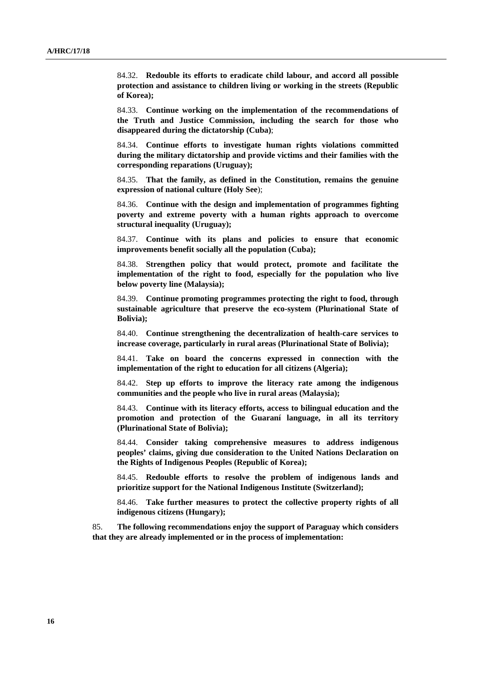84.32. **Redouble its efforts to eradicate child labour, and accord all possible protection and assistance to children living or working in the streets (Republic of Korea);**

84.33. **Continue working on the implementation of the recommendations of the Truth and Justice Commission, including the search for those who disappeared during the dictatorship (Cuba)**;

84.34. **Continue efforts to investigate human rights violations committed during the military dictatorship and provide victims and their families with the corresponding reparations (Uruguay);** 

84.35. **That the family, as defined in the Constitution, remains the genuine expression of national culture (Holy See**);

84.36. **Continue with the design and implementation of programmes fighting poverty and extreme poverty with a human rights approach to overcome structural inequality (Uruguay);**

84.37. **Continue with its plans and policies to ensure that economic improvements benefit socially all the population (Cuba);**

84.38. **Strengthen policy that would protect, promote and facilitate the implementation of the right to food, especially for the population who live below poverty line (Malaysia);**

84.39. **Continue promoting programmes protecting the right to food, through sustainable agriculture that preserve the eco-system (Plurinational State of Bolivia);**

84.40. **Continue strengthening the decentralization of health-care services to increase coverage, particularly in rural areas (Plurinational State of Bolivia);**

84.41. **Take on board the concerns expressed in connection with the implementation of the right to education for all citizens (Algeria);**

84.42. **Step up efforts to improve the literacy rate among the indigenous communities and the people who live in rural areas (Malaysia);**

84.43. **Continue with its literacy efforts, access to bilingual education and the promotion and protection of the Guaraní language, in all its territory (Plurinational State of Bolivia);**

84.44. **Consider taking comprehensive measures to address indigenous peoples' claims, giving due consideration to the United Nations Declaration on the Rights of Indigenous Peoples (Republic of Korea);**

84.45. **Redouble efforts to resolve the problem of indigenous lands and prioritize support for the National Indigenous Institute (Switzerland);** 

84.46. **Take further measures to protect the collective property rights of all indigenous citizens (Hungary);**

85. **The following recommendations enjoy the support of Paraguay which considers that they are already implemented or in the process of implementation:**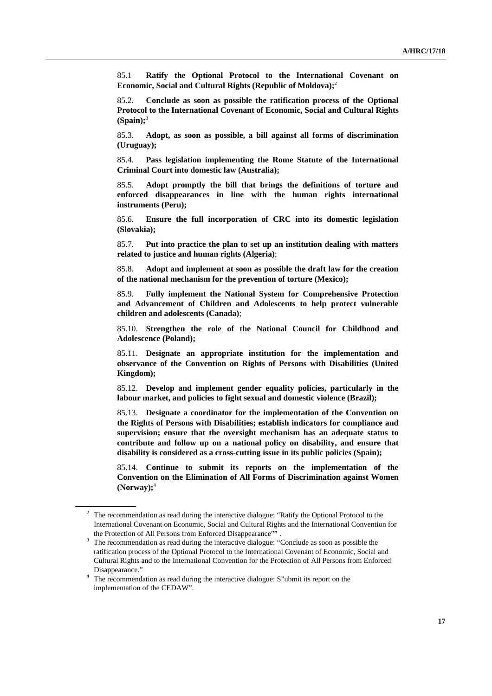85.1 **Ratify the Optional Protocol to the International Covenant on Economic, Social and Cultural Rights (Republic of Moldova);**<sup>2</sup>

85.2. **Conclude as soon as possible the ratification process of the Optional Protocol to the International Covenant of Economic, Social and Cultural Rights (Spain);**<sup>3</sup>

85.3. **Adopt, as soon as possible, a bill against all forms of discrimination (Uruguay);** 

85.4. **Pass legislation implementing the Rome Statute of the International Criminal Court into domestic law (Australia);**

85.5. **Adopt promptly the bill that brings the definitions of torture and enforced disappearances in line with the human rights international instruments (Peru);** 

85.6. **Ensure the full incorporation of CRC into its domestic legislation (Slovakia);**

85.7. **Put into practice the plan to set up an institution dealing with matters related to justice and human rights (Algeria)**;

85.8. **Adopt and implement at soon as possible the draft law for the creation of the national mechanism for the prevention of torture (Mexico);**

85.9. **Fully implement the National System for Comprehensive Protection and Advancement of Children and Adolescents to help protect vulnerable children and adolescents (Canada)**;

85.10. **Strengthen the role of the National Council for Childhood and Adolescence (Poland);**

85.11. **Designate an appropriate institution for the implementation and observance of the Convention on Rights of Persons with Disabilities (United Kingdom);**

85.12. **Develop and implement gender equality policies, particularly in the labour market, and policies to fight sexual and domestic violence (Brazil);**

85.13. **Designate a coordinator for the implementation of the Convention on the Rights of Persons with Disabilities; establish indicators for compliance and supervision; ensure that the oversight mechanism has an adequate status to contribute and follow up on a national policy on disability, and ensure that disability is considered as a cross-cutting issue in its public policies (Spain);**

85.14. **Continue to submit its reports on the implementation of the Convention on the Elimination of All Forms of Discrimination against Women (Norway);**<sup>4</sup>

<sup>&</sup>lt;sup>2</sup> The recommendation as read during the interactive dialogue: "Ratify the Optional Protocol to the International Covenant on Economic, Social and Cultural Rights and the International Convention for the Protection of All Persons from Enforced Disappearance"" .<br><sup>3</sup> The recommendation as read during the interactive dialogue: "Conclude as soon as possible the

ratification process of the Optional Protocol to the International Covenant of Economic, Social and Cultural Rights and to the International Convention for the Protection of All Persons from Enforced Disappearance." 4 The recommendation as read during the interactive dialogue: S"ubmit its report on the

implementation of the CEDAW".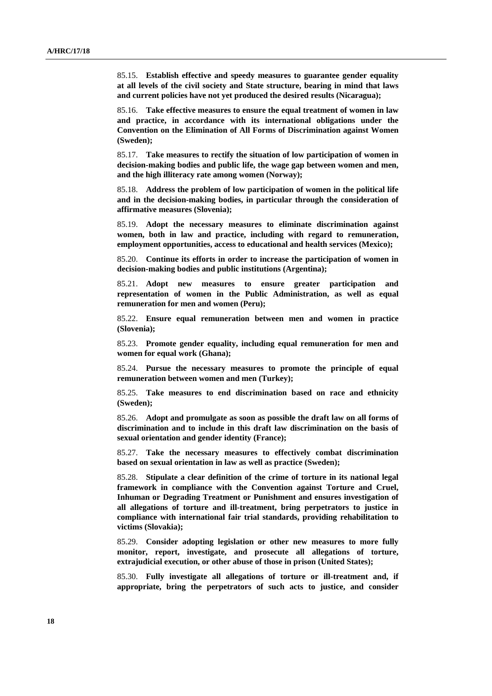85.15. **Establish effective and speedy measures to guarantee gender equality at all levels of the civil society and State structure, bearing in mind that laws and current policies have not yet produced the desired results (Nicaragua);**

85.16. **Take effective measures to ensure the equal treatment of women in law and practice, in accordance with its international obligations under the Convention on the Elimination of All Forms of Discrimination against Women (Sweden);**

85.17. **Take measures to rectify the situation of low participation of women in decision-making bodies and public life, the wage gap between women and men, and the high illiteracy rate among women (Norway);** 

85.18. **Address the problem of low participation of women in the political life and in the decision-making bodies, in particular through the consideration of affirmative measures (Slovenia);** 

85.19. **Adopt the necessary measures to eliminate discrimination against women, both in law and practice, including with regard to remuneration, employment opportunities, access to educational and health services (Mexico);**

85.20. **Continue its efforts in order to increase the participation of women in decision-making bodies and public institutions (Argentina);**

85.21. **Adopt new measures to ensure greater participation and representation of women in the Public Administration, as well as equal remuneration for men and women (Peru);**

85.22. **Ensure equal remuneration between men and women in practice (Slovenia);**

85.23. **Promote gender equality, including equal remuneration for men and women for equal work (Ghana);**

85.24. **Pursue the necessary measures to promote the principle of equal remuneration between women and men (Turkey);**

85.25. **Take measures to end discrimination based on race and ethnicity (Sweden);**

85.26. **Adopt and promulgate as soon as possible the draft law on all forms of discrimination and to include in this draft law discrimination on the basis of sexual orientation and gender identity (France);** 

85.27. **Take the necessary measures to effectively combat discrimination based on sexual orientation in law as well as practice (Sweden);**

85.28. **Stipulate a clear definition of the crime of torture in its national legal framework in compliance with the Convention against Torture and Cruel, Inhuman or Degrading Treatment or Punishment and ensures investigation of all allegations of torture and ill-treatment, bring perpetrators to justice in compliance with international fair trial standards, providing rehabilitation to victims (Slovakia);** 

85.29. **Consider adopting legislation or other new measures to more fully monitor, report, investigate, and prosecute all allegations of torture, extrajudicial execution, or other abuse of those in prison (United States);** 

85.30. **Fully investigate all allegations of torture or ill-treatment and, if appropriate, bring the perpetrators of such acts to justice, and consider**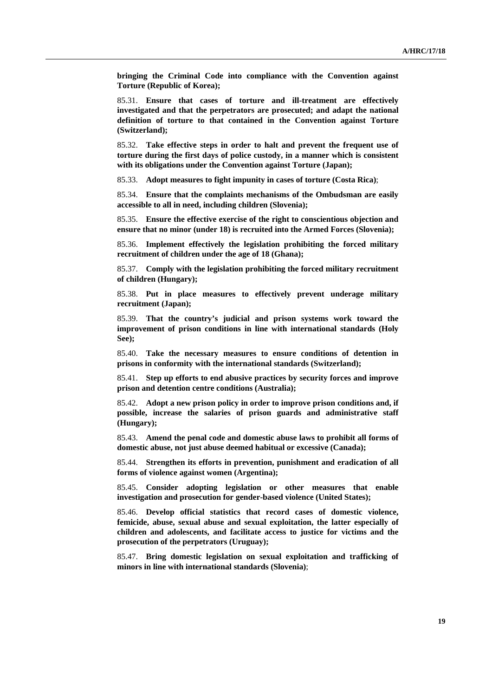**bringing the Criminal Code into compliance with the Convention against Torture (Republic of Korea);**

85.31. **Ensure that cases of torture and ill-treatment are effectively investigated and that the perpetrators are prosecuted; and adapt the national definition of torture to that contained in the Convention against Torture (Switzerland);** 

85.32. **Take effective steps in order to halt and prevent the frequent use of torture during the first days of police custody, in a manner which is consistent with its obligations under the Convention against Torture (Japan);** 

85.33. **Adopt measures to fight impunity in cases of torture (Costa Rica)**;

85.34. **Ensure that the complaints mechanisms of the Ombudsman are easily accessible to all in need, including children (Slovenia);**

85.35. **Ensure the effective exercise of the right to conscientious objection and ensure that no minor (under 18) is recruited into the Armed Forces (Slovenia);**

85.36. **Implement effectively the legislation prohibiting the forced military recruitment of children under the age of 18 (Ghana);** 

85.37. **Comply with the legislation prohibiting the forced military recruitment of children (Hungary);**

85.38. **Put in place measures to effectively prevent underage military recruitment (Japan);** 

85.39. **That the country's judicial and prison systems work toward the improvement of prison conditions in line with international standards (Holy See);**

85.40. **Take the necessary measures to ensure conditions of detention in prisons in conformity with the international standards (Switzerland);**

85.41. **Step up efforts to end abusive practices by security forces and improve prison and detention centre conditions (Australia);**

85.42. **Adopt a new prison policy in order to improve prison conditions and, if possible, increase the salaries of prison guards and administrative staff (Hungary);**

85.43. **Amend the penal code and domestic abuse laws to prohibit all forms of domestic abuse, not just abuse deemed habitual or excessive (Canada);**

85.44. **Strengthen its efforts in prevention, punishment and eradication of all forms of violence against women (Argentina);**

85.45. **Consider adopting legislation or other measures that enable investigation and prosecution for gender-based violence (United States);**

85.46. **Develop official statistics that record cases of domestic violence, femicide, abuse, sexual abuse and sexual exploitation, the latter especially of children and adolescents, and facilitate access to justice for victims and the prosecution of the perpetrators (Uruguay);**

85.47. **Bring domestic legislation on sexual exploitation and trafficking of minors in line with international standards (Slovenia)**;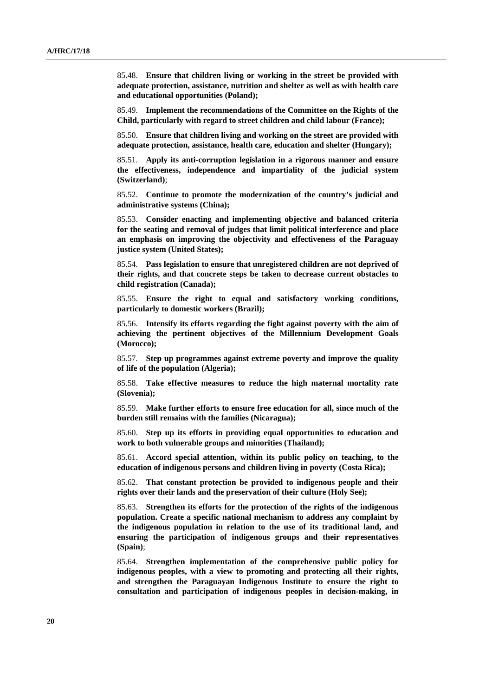85.48. **Ensure that children living or working in the street be provided with adequate protection, assistance, nutrition and shelter as well as with health care and educational opportunities (Poland);** 

85.49. **Implement the recommendations of the Committee on the Rights of the Child, particularly with regard to street children and child labour (France);**

85.50. **Ensure that children living and working on the street are provided with adequate protection, assistance, health care, education and shelter (Hungary);**

85.51. **Apply its anti-corruption legislation in a rigorous manner and ensure the effectiveness, independence and impartiality of the judicial system (Switzerland)**;

85.52. **Continue to promote the modernization of the country's judicial and administrative systems (China);**

85.53. **Consider enacting and implementing objective and balanced criteria for the seating and removal of judges that limit political interference and place an emphasis on improving the objectivity and effectiveness of the Paraguay justice system (United States);**

85.54. **Pass legislation to ensure that unregistered children are not deprived of their rights, and that concrete steps be taken to decrease current obstacles to child registration (Canada);**

85.55. **Ensure the right to equal and satisfactory working conditions, particularly to domestic workers (Brazil);**

85.56. **Intensify its efforts regarding the fight against poverty with the aim of achieving the pertinent objectives of the Millennium Development Goals (Morocco);**

85.57. **Step up programmes against extreme poverty and improve the quality of life of the population (Algeria);** 

85.58. **Take effective measures to reduce the high maternal mortality rate (Slovenia);**

85.59. **Make further efforts to ensure free education for all, since much of the burden still remains with the families (Nicaragua);**

85.60. **Step up its efforts in providing equal opportunities to education and work to both vulnerable groups and minorities (Thailand);**

85.61. **Accord special attention, within its public policy on teaching, to the education of indigenous persons and children living in poverty (Costa Rica);**

85.62. **That constant protection be provided to indigenous people and their rights over their lands and the preservation of their culture (Holy See);**

85.63. **Strengthen its efforts for the protection of the rights of the indigenous population. Create a specific national mechanism to address any complaint by the indigenous population in relation to the use of its traditional land, and ensuring the participation of indigenous groups and their representatives (Spain)**;

85.64. **Strengthen implementation of the comprehensive public policy for indigenous peoples, with a view to promoting and protecting all their rights, and strengthen the Paraguayan Indigenous Institute to ensure the right to consultation and participation of indigenous peoples in decision-making, in**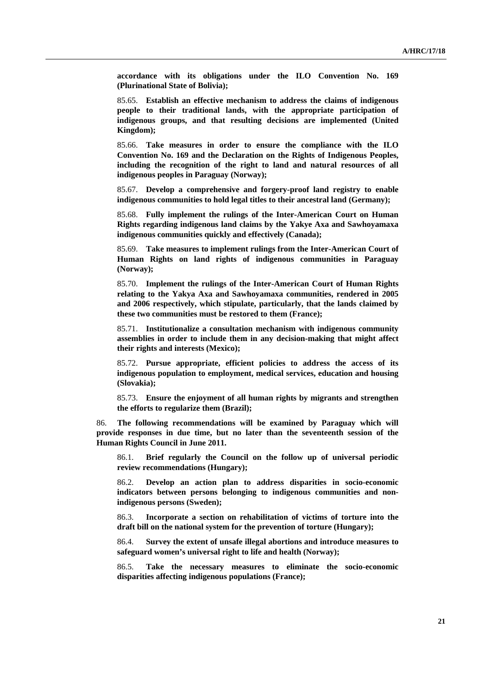**accordance with its obligations under the ILO Convention No. 169 (Plurinational State of Bolivia);**

85.65. **Establish an effective mechanism to address the claims of indigenous people to their traditional lands, with the appropriate participation of indigenous groups, and that resulting decisions are implemented (United Kingdom);**

85.66. **Take measures in order to ensure the compliance with the ILO Convention No. 169 and the Declaration on the Rights of Indigenous Peoples, including the recognition of the right to land and natural resources of all indigenous peoples in Paraguay (Norway);**

85.67. **Develop a comprehensive and forgery-proof land registry to enable indigenous communities to hold legal titles to their ancestral land (Germany);**

85.68. **Fully implement the rulings of the Inter-American Court on Human Rights regarding indigenous land claims by the Yakye Axa and Sawhoyamaxa indigenous communities quickly and effectively (Canada);**

85.69. **Take measures to implement rulings from the Inter-American Court of Human Rights on land rights of indigenous communities in Paraguay (Norway);**

85.70. **Implement the rulings of the Inter-American Court of Human Rights relating to the Yakya Axa and Sawhoyamaxa communities, rendered in 2005 and 2006 respectively, which stipulate, particularly, that the lands claimed by these two communities must be restored to them (France);**

85.71. **Institutionalize a consultation mechanism with indigenous community assemblies in order to include them in any decision-making that might affect their rights and interests (Mexico);** 

85.72. **Pursue appropriate, efficient policies to address the access of its indigenous population to employment, medical services, education and housing (Slovakia);** 

85.73. **Ensure the enjoyment of all human rights by migrants and strengthen the efforts to regularize them (Brazil);**

86. **The following recommendations will be examined by Paraguay which will provide responses in due time, but no later than the seventeenth session of the Human Rights Council in June 2011.**

86.1. **Brief regularly the Council on the follow up of universal periodic review recommendations (Hungary);**

86.2. **Develop an action plan to address disparities in socio-economic indicators between persons belonging to indigenous communities and nonindigenous persons (Sweden);**

86.3. **Incorporate a section on rehabilitation of victims of torture into the draft bill on the national system for the prevention of torture (Hungary);**

86.4. **Survey the extent of unsafe illegal abortions and introduce measures to safeguard women's universal right to life and health (Norway);**

86.5. **Take the necessary measures to eliminate the socio-economic disparities affecting indigenous populations (France);**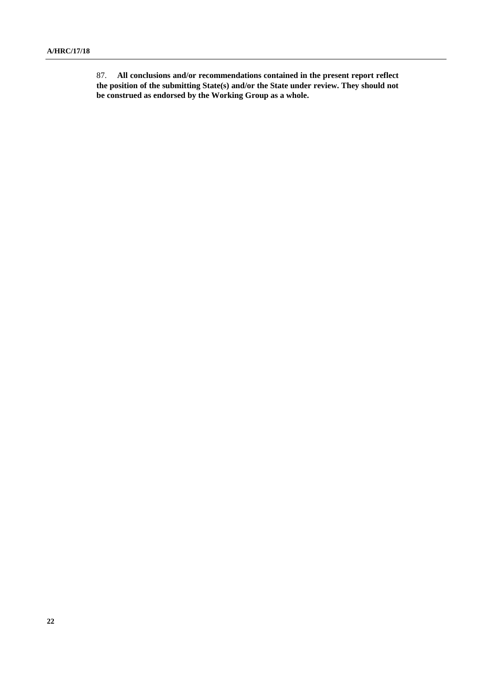87. **All conclusions and/or recommendations contained in the present report reflect the position of the submitting State(s) and/or the State under review. They should not be construed as endorsed by the Working Group as a whole.**